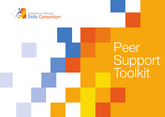

# Peer Support Toolkit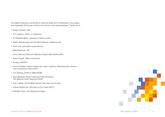The Skills Consortium would like to thank all those who contributed to this project and especially all the peer mentors and service-user representatives. Thanks go to:

- Roger Howard, chair
- **Tim Leighton, Action on Addiction**
- Dr Raffaella Milani, University of West London
- **Martin Blakebrough and Rondine Molinaro, Kaleidoscope**
- Chris Lee, Lancashire local authority
- Mike Pattinson, CRI
- Chris Todd and Stephen Maloney, Greater Manchester NHS
- **Jason Gough, Skills Consortium**
- Si Parry, MORPH
- Sunny Dhadley, Leanne Harper and Jason Sprecky, Wolverhampton Service User Involvement Team (SUIT)
- **Tim Sampey, Build on Belief (BOB)**
- April Wareham, Beryl Poole and Peter Simonson, The National User's Network (NUN)
- Carl Cundall, The Sheffield Alcohol Recovery Community
- **James McDermott, Recovery is Out There (RIOT)**
- **Michelle Foster, The Basement Project**

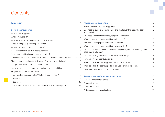# **Contents**

| <b>Introduction</b>                                                                   | $\overline{4}$ | <b>Managing peer supporters</b>                                                                         | 12 |
|---------------------------------------------------------------------------------------|----------------|---------------------------------------------------------------------------------------------------------|----|
|                                                                                       |                | Why should I employ peer supporters?                                                                    | 12 |
| Being a peer supporter                                                                | 5              | Do I need to put in place boundaries and a safeguarding policy for peer                                 | 12 |
| What is peer support?                                                                 | 5              | supporters?                                                                                             |    |
| What is mutual aid?                                                                   | 6              | Do I need a confidentiality policy for peer supporters?                                                 | 12 |
| What's the evidence that peer support is effective?                                   | 6              | What do peer supporters need in their induction?                                                        | 13 |
| What kind of people provide peer support?                                             | $\overline{7}$ | How can I manage peer supporter's journeys?                                                             | 13 |
| Why would I want to support my peers?                                                 |                | What do peer supporters need in their supervision?                                                      | 13 |
| How can I get involved with peer supporting?                                          |                | Do I need to keep a record of the work the peer supporters are doing and the<br>effect they are having? | 14 |
| Can I get a qualification from peer supporting?                                       |                | Do I need a drug and alcohol in the workplace policy?                                                   | 14 |
| I'm in recovery and still use drugs or alcohol - I want to support my peers. Can I? 8 |                | How can I recruit peer supporters?                                                                      | 14 |
| Should I always disclose the full extent of my drug or alcohol use?                   | 8              | What do I do if the peer supporter has a criminal record?                                               | 14 |
| I've got a criminal record, does that matter?                                         | 8              | What do I do if the peer supporter is still using drug and alcohol?                                     | 15 |
| I want to start a peer support organisation – what should I do?                       | 8              | Case study 2 - Si Parry, Co-Founder of Morph                                                            | 16 |
| Are peer supporters all volunteers?                                                   | $\hbox{9}$     |                                                                                                         |    |
| I'm a volunteer peer supporter. What do I need to know?                               | 9              | Appendices - useful materials and forms                                                                 | 17 |
| <b>Benefits</b>                                                                       | $\Theta$       | A. Peer supporter role profile                                                                          | 17 |
| <b>Expenses</b>                                                                       | 10             | <b>B.</b> Generic forms                                                                                 | 18 |
| Case study 1 – Tim Sampey, Co-Founder of Build on Belief (BOB)                        | 11             |                                                                                                         |    |
|                                                                                       |                | C. Further reading                                                                                      | 22 |
|                                                                                       |                | D. Resources and organisations                                                                          | 23 |

J.

 $\sim 10^{-1}$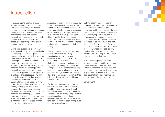# **Introduction**

There is a strong tradition of peer support in the drug and alcohol field. The people involved go by various names – recovery champions, buddies, peer mentors and more – but the gist remains the same: that people themselves in recovery from drug and alcohol use can be authentic and effective voices in supporting others along their own journeys.

Some peer supporters (by which we also mean all those people who identify as 'recovery champions', 'peer mentors' etc) are paid for their work but the majority are not. For both groups, working to help others becomes part of the recovery journey itself – by supporting another and adding to their recovery capital the peer supporters themselves derive wellbeing. In many ways peer support is a label applied to a multitude of processes and human interactions which have happened for decades, or even centuries. The Washingtonians were a society in the 1840s formed in Baltimore, Maryland to create, through peer and mutual support, the environment necessary to facilitate abstinence from alcohol and a recovery from drinking. Since then many organisations and initiatives have arisen, with peer support and mutual aid coming to be recognised by many as key elements in recovery.

Anecdotally, much of which is valued by those in recovery is a long way from a formalised treatment interventions and much more akin to the normal dynamics of friendship – sports played together, music created in a group, eating and drinking and having a 'safe space' away from drugs and alcohol with nonusing peers who are, or become, friends and won't judge someone on their history.

Peer supporters, properly looked after, can be a vital resource to any organisation. Motivated by personal experience, they bring skills and real world know-how, flexibility and dedication in working practices and a high level of empathy with clients and colleagues. For the person in recovery, having a support worker or buddy who has been through a similar process of drug or alcohol use adds weight to their advice and makes them credible and approachable.

For the peer supporter, work may be valuable as a way of lending a helping hand to other people going through hardships they recognise and relate to. It may also be a way of gaining valuable experience of employment and a pathway back into paid work, especially for a person who has been unemployed long-term or perhaps in prison.

But this doesn't come for free for organisations. Peer supporters need to be supervised, supported and monitored just like anyone else. Services need to spend time developing effective recruitment, support and supervision processes which ensure both that peer supporters possess the competencies they need to do a good job, and that they have effective channels for seeking support and feedback. Also, that those in recovery whose progress is righty celebrated as an exemplar to others feel comfortable asking for help if they run into issues of their own.

This toolkit brings together information for peer supporters and their managers. During its development the Skills Consortium extensively consulted peersupporters to get the real deal from the 'experts from experience'. Input was also sought from public health, policy and workforce development experts.

January 2015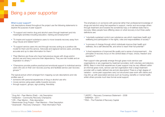# Being a peer supporter

#### What is peer support?

Job descriptions shared throughout the project use the following statements to explore the purpose of peer support:

- "To support and mentor drug and alcohol users through treatment and into meaningful activities including education, training and employment"1
- "To inspire and support substance users to move towards recovery away from drug misuse and related harm"2
- "To support service users into and through recovery acting as a positive role model for them and the service. Advocate and signpost service users, providing accurate and up to date information for them. 3
- "Peer Mentors are those who have had previous issues with drugs and/or alcohol use and have overcome their dependency. They are role models and an inspiration to others."4
- "Champions provide positive practical and emotional support to individual service users who are on their own recovery journey and facilitate service user recovery groups."5

The typical picture which emerged from mapping out job descriptions and role profiles was of

- someone with personal experiences of drug or alcohol use who
- **n** moves service-using peers safely towards recovery
- **through support, groups, sign-posting, friendship.**

The emphasis is on someone with personal rather than professional knowledge of drugs and alcohol using that expertise to support, mentor and encourage others through treatment and towards the sometimes hazy or ill-defined state that is recovery. Many people have differing views on what recovery is but three useful definitions are:

- "voluntarily sustained control over substance use which maximises health and wellbeing and participation in the rights, roles and responsibilities of society"6
- "a process of change through which individuals improve their health and wellness, live a self-directed life, and strive to reach their full potential 7"
- "a lived experience of improved life quality and a sense of empowerment; ...the principles of recovery focus on the central ideas of hope, choice, freedom and aspiration"8.

Peer support roles generally emerge through grass-roots service-user organisations or are organised by treatment providers, both voluntary and statutory (NHS). Bear in mind that experiences of peer support may be very different within an informal grass-roots, service-user led organisation than a large treatment provider with a neatly defined role and job description! There is a high degree of variation – some peer supporters carry out structured case-work with clients and may link up with associated services such as housing, benefits or mental health, whilst others provide much less formal social support.

- <sup>1</sup> Drug Aid Peer Mentor (Paid) Job Description
- <sup>2</sup> Addaction Community Recovery Champions
- <sup>3</sup> CRI Peer Mentor Role description
- <sup>4</sup> Westminster Drug Project Peer Mentors Role Description
- <sup>5</sup> Swanswell Recovery Champion Role Information Pack
- <sup>6</sup> UKDPC Recovery Consensus Statement 2008
- <sup>7</sup> SAMHSA 2011
- <sup>8</sup> RSA The Potential of Recovery Capital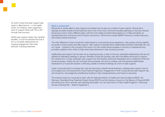It's worth noting that peer support also exists in allied sectors – in the health sector, for instance, peer supporters work to support those with TB or HIV through their journeys.

Whilst peer support clearly has manifold benefits, it must be stressed that that it isn't a complete replacement for ongoing engagement with other services, including treatment.

#### What is mutual aid?

Mutual aid is closely allied to peer support and indeed can be seen as a subset of peer support. Mutual aid is typically provided outside formal treatment and is one of the most commonly travelled pathways to recovery. Mutual aid groups come in many different types, with the most widely provided being based on 12-Step principles, for example Narcotics Anonymous and Cocaine Anonymous. Other forms include SMART Recovery, Intuitive Recovery and locally evolved structures.

The main difference is that mutual aid is often based on a structured group experience, with people coming together as equals to share stories and offer support. Peer support is typically about relationships between individuals who are not 'equal' – inherent in the concept is the notion of a role model whose progress in recovery is inspirational and provides a platform from which to help others less advanced in their recovery journeys.

Additionally peer support can be seen as an ongoing process, a web of recovery orientated-relationships that are not defined by attending meetings or groups. Whereas mutual aid typically uses semi-formalised structures of support (for instance the 12-step meetings), peer support can encompass continuous friendships and a multitude of informal social processes. Clearly the two concepts and processes can and do overlap, with the personal relationships developed in a mutual aid situation continuing outside convened meetings as a form of peer support.

Lastly mutual aid tends to emerge from user-led structures outside formal treatment, whereas peer support may be encouraged and commissioned by those treatment agencies. Engagement in both mutual aid and peer-support can, and should be, encouraged by practitioners looking to help change behaviour and improve outcomes.

The evidence base for mutual aid is clear, with the National Institute of Health and Care Excellence (NICE), the Recovery Orientated Drug Treatment Expert Group (RODT) and the Advisory Council on the Misuse of Drugs (ACMD) all looking at its role in recovery and reporting favourably. You can read more in Public Health England's 'Improving Access to Mutual Aid' – listed in Appendix C.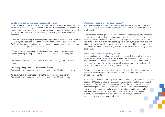#### What's the evidence that peer support is effective?

NICE recommend peer support and suggest that the benefits of these groups can be further enhanced if keyworkers and other staff in services facilitate contact with them, for example by making an initial appointment, arranging transport or possibly accompanying patients to the first meeting and dealing with any subsequent concerns.

'Medications in Recovery: Reorienting Drug Dependence Treatment' was produced in 2012 by the Recovery Orientated Drug Treatment Expert Group, chaired by Professor John Strong and contains a strong recommendation regarding increasing access to peer support for service-users:

"Promote choice by ensuring people in treatment have a range of peer-support options including 12-step, SMART Recovery and other local peer-support services".

The Findings' Hot Topics below provide more evidence if you'd like to read in-depth:

#### The therapeutic potential of patients and clients

(www.findings.org.uk/count/downloads/download.php?file=hot\_user\_involve.hot)

12-step mutual aid promises to plug the recovery resources deficit (www.findings.org.uk/count/downloads/download.php?file=steps.hot)

#### What kind of people provide peer support?

Anyone! Although the more formal opportunities, and especially paid positions, may have a higher requirement for entry, there should be many opportunities for involvement.

Every person's recovery journey is unique to them – a process resulting from their combination of historic drug or alcohol use, physical and mental health, wider recovery capital, attitudes and abilities, outlook, hopes and beliefs for the future. The decision to get involved with peer support, therefore, must be taken at a time when a person feels resilient, and ready to support others. Nobody should feel rushed into it – it can be demanding work which will involve others relying on you significantly.

#### Why would I want to support my peers?

Many people get pleasure from helping others, especially those with recognisable issues and challenges in their lives, and give up their time without thought of financial reward to improve the lives of those who need a helping hand. Peer supporters who are paid by an employer will of course also derive professional benefits and satisfaction from helping others in this way.

Being a peer supporter can also be helpful in building skills for future employment as well as provide opportunities to meet people, both friends and useful professional contacts.

For those who do work voluntarily, the Institute for Voluntary Research and partners developed 'Assessing Voluntary Experiences: A portfolio of skills learned through volunteering' (www.ivr.org.uk/component/ivr/assessing-voluntary-experiences) which is designed to 'assist you to reflect upon your voluntary experiences, to help you identify the skills you have learnt or developed and to help you to interpret these skills and experiences for potential employers'. If you are currently volunteering this may be a good way of identifying the skills you are learning and use them in job applications.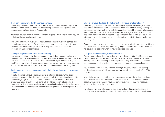#### How can I get involved with peer supporting?

Contacting local treatment providers, mutual aid and service-user groups is the best bet. These can best be found by searching online or looking at the peer support organisations listed in Appendix F.

Your local council, local volunteer centre and regional Public Health team may be able to advise on local opportunities.

The Drink and Drug News (DDN – http://drinkanddrugsnews.com) service-user annual conference, held in Birmingham, brings together service-users from around the country to share good practice – this may also provide a chance for involvement and contact building.

#### Can I get a qualification from peer mentoring?

You should certainly try to! It does depend somewhat on the organisation which the peer supporter is attached to. Some organisations are keen to qualify their staff and may have an NVQ or other qualification in place. If you would like to get a qualification out of your time as a peer supporter, have a word with your manager and make the case for why you think your contribution should be recognised.

#### I'm in recovery and still use drugs or alcohol – I want to support my peers. Can 1?

It really depends, various organisations have differing policies. Whilst clearly recovery is a personalised journey and some people find a great deal of stability whilst using drugs and alcohol, some organisations will have a policy of all employees being drug free. This is more likely if the position is located in a treatment provider – many service-user led organisations have an inclusive model with those involved coming from a variety of backgrounds, at various points in their recovery.

#### Should I always disclose the full extent of my drug or alcohol use?

Developing guidance on self-disclosure is the prerogative of every organisation, and advice on when or if to fully disclose to peers and others will vary. Some peer supporters have told us that full self-disclosure has helped them build relationships with others, but it's for every individual and their manager to decide exactly how and when disclosure should happen. Also consider whether a full disclosure will influence how service users see you in relation to other staff – it could be for the bad or good.

Of course for many peer supporters the people they work with are the same friends and peers they had when they were using drugs or alcohol and there is therefore no issue about deciding when or how to disclose past use.

#### I've got a criminal record, does that matter?

Again, it depends on the organisation and what the record is. The Disclosure and Barring Service (DBS) is used widely to check people's history and suitability for working with vulnerable people. Some applicants may be debarred if the check returns serious criminal activity such as arson, some violent or sexual crimes.

You can read about the DBS process online (www.gov.uk/disclosure-barringservice-check/overview). It's worth noting that volunteers can receive free DBS checks.

More likely, however, is that it uncovers lesser criminal activity which sometimes accompanies drug use. This need not be a cause for concern in itself. Many people with criminal records have not committed offences that will negatively impact on their capacity to volunteer.

No Offence (www.no-offence.org) is an organisation which provides advice on criminal justice sector developments, including criminal records, and employment.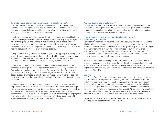#### I want to start a peer support organisation – what should I do?

The best method is to talk to others who have done it! Look online (including on Facebook and Twitter) for service-user groups to talk to. The annual DDN serviceuser conference will also be useful to this end, with much of it being devoted to sharing good practice, successes and challenges.

Local commissioners could also be good contacts – it's well worth seeking them out, establishing relationships and exploring the possibility of applying for a grant to help get the group up and running. It is also worth talking to local treatment providers to see if there are any opportunities available. In a time of decreased resources those commissioning services for substance users may be interested in hearing about cost-effective, relatively cheap options.

It may be valuable to get friends and peers together to support you in setting up a group. Consider conducting an informal skills audit of the group – everyone has something to offer. Further down the line people can use their skills to lead sessions on sports or music, or carry out advocacy work on behalf of peers.

If you do set up a group it's important to know about relevant legislation and principles of good governance. Organisations such as the Charity Commission (www.charitycommission.gov.uk), National Council for Voluntary Organisations (NCVO – www.ncvo.org.uk) and the various regional voluntary and community sector support organisations (check Regional Voices – www.regionalvoices.org) provide free guidance. For more details, the book 'Voluntary but not Amateur' may be useful.

If you are serious about setting up an organisation it's worth researching what opportunities are open to you as a social enterprise. The Government webpage 'Setting up a social enterprise' may be of use, though please bear in mind that you should consult professional advice before proceeding down this route if it is something you want to do. Social Enterprise UK (www.socialenterprise.org.uk) also have a lot of information on social enterprises, with FAQs covering many of the areas of relevance, including the impact of legislation and policy.

#### Are peer supporters all volunteers?

No, but most of them are. No precise auditing or surveying has ever been done on this. Service-user organisations are by definition usually grass-roots community organisations and alliances rather than bodies which are officially sanctioned or commissioned by national or government bodies.

#### I'm a volunteer peer supporter. What do I need to know? *Volunteering and the law*

Volunteers do not currently have the same rights as fully paid employees, and the label of volunteer does not in itself have a precise legal meaning. Whilst any volunteer who has a written contact with an employer is likely to have certain rights many volunteers may not have full formal contracts. However even verbal arrangements and on-going working relationships can all constitute types of contracts in the eyes of the law. The arrangements that volunteers and their employers come to are likely to be varied and flexible.

It's best for volunteers to read up on the topic and then clearly communicate what is needed and expected on both sides through the whole process. Induction and supervision should be used by volunteers to clarify their status within the organisation and raise any questions on how volunteering may impact on any other elements of their life.

#### *Benefits*

Job Centre Plus defines volunteering as 'when you choose to give your time and energy to benefit other people without being paid for it' and acknowledge that 'volunteering can give you a much better chance of finding paid work'. Usually there is no limit to the amount of volunteering a person can do whilst claiming benefits, as long as they continue to meet the standard criteria of their benefit scheme. In term of claiming Jobseeker's Allowance (JSA) a person who volunteers must also be: actively looking for paid work; available for work; able to attend an interview at 48 hours' notice; and able to start a job at a week's notice.

Regarding Employment and Support Allowance (ESA), voluntary work should be reported but will not affect your ability to claim ESA.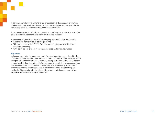A person who volunteers full time for an organisation is described as a voluntary worker and if they receive an allowance from their employee to cover part of their basic living costs then they may not be eligible for benefits.

A person who does a paid job cannot decide to refuse payment in order to qualify as a volunteer and consequently claim any benefits available.

Volunteering England identifies the following key rules whilst claiming benefits:

- Keep to the normal rules of claiming benefits
- Tell your contact at Job Centre Plus or whoever pays your benefits before starting volunteering
- Only claim for out-of-pocket expenses incurred and never allowances

#### *Expenses*

Volunteers can claim for expenses - out-of-pocket spending necessitated by the volunteering work such as travel and food - but no more than that. Worrying about being out-of-pocket is something that may deter people from volunteering as peer supporters. It is therefore advisable for managers to explain the expenses protocol to volunteers as early as possible to reassure them, however it is acceptable to encourage them to keep these costs to a minimum and to use the cheapest methods of transport available. It is best for volunteers to keep a record of any expenses and copies of receipts, tickets etc.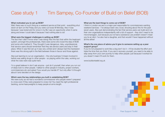# Case study 1 Tim Sampey, Co-Founder of Build on Belief (BOB)

#### What motivated you to set up BOB?

Well, there was no such thing as a weekend service at that point - everything shut down at 4pm on the Friday and you were cut loose till Monday. Also it was because I was bored and for once in my life I saw an opportunity when it came along and knew I could take it because I had nothing else to do!

#### What were the biggest challenges in setting up BOB?

The fact that I didn't know what I was doing! Also the fact that within the treatment system, amongst the professionals, there were some who loved the idea of BOB and some who loathed it. They thought it was dangerous, risky, unprofessional, that service users should remember that they are service users and stay in their place. When it was first set up it was very untried and I always had the impression there was this strong split in the field between those in favour and those against.

Also just learning to run an organisation – the only business I'd been involved in before was selling drugs to other people – so playing within the rules, working out what the rules were was quite hard.

I'm a great believer in don't ask anyone – just do it yourself, then when you run out of ideas look to other people. I talked to other people in industry, project workers, commissioners etc and asked 'how would you handle it?' but only after I'd thought about it and decided on the design.

#### Which were the key relationships you built in establishing BOB?

We were lucky as we had a wonderful commissioner who people weren't prepared to cross even if they were prepared to cross me! You need the right professional backing, some heavyweights to keep people at arms-length.

#### What are the best things to come out of BOB?

I think in London we are in a major part responsible for commissioners wanting weekend services - I've always been very vocal, shouting about this for the past seven years. Also just demonstrating the fact that service users can build and run their own organisations independently with a bit of support - they don't need to be micromanaged. Just because you've had a substance use problem doesn't mean you're an idiot. I've also had a daughter, and that wouldn't have happened without all this either!

#### What's the one piece of advice you'd give to someone setting up a peer support group?

If you're not prepared to work like a dog don't do it – it'll be double the effort and triple the time that you think. If you are in recovery yourself, you need to be able to step away from your own journey to help other people: just because it worked for you doesn't mean it'll work for them.

www.buildonbelief.org.uk

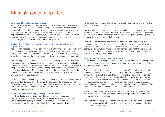# Managing peer supporters

#### Why should I employ peer supporters?

As noted in the first section, peer supporters provide a vital, passionate service in enabling and motivating service-users through their recovery. They can inspire and support others and the peer support work can play a key role in their own recovery. The Findings paper 'Self help – don't leave it just to the patients' (pdf http://findings.org.uk/docs/Humphreys\_K\_21.pdf) by Professor Keith Humphreys makes the case for practitioners and service mangers being much more proactive in encouraging service-users into mutual aid and peer support.

#### Do I need to put in place boundaries and a safeguarding policy for peer supporters?

Yes – it's non-negotiable. Any person who works with vulnerable people (which can include drug and alcohol users) needs to be fully appraised of the safeguarding policy of the organisation and should not start any kind of work without knowing what the policy is, how it must be implemented and how concerns are reported.

Part of safeguarding is boundary setting. This is something you should do with all new peer supporters. Discuss together the importance of keeping and maintaining boundaries. Topics to cover as part of boundary setting include mixing socially with the people receiving the peer support, entering client's homes, physical contact and sexual relationships. Make it clear that though the peer supporter may be the friend of the person they are supporting they aren't acting simply as their friend when carrying out peer support.

Whilst it's important to encourage proper boundaries it's important to acknowledge that a significant proportion of the clients the peer supporter engages may be friends. If the policy is too restrictive it may unintentionally cut off the peer supporter from his or her own social network of support – and perhaps even end up threatening their recovery.

#### Do I need a confidentiality policy for peer supporters?

Yes. Confidentiality is very important when working around substance use. Substance users may have had traumatic experiences regarding drug or alcohol use or associated topics (e.g. mental health difficulties, domestic violence, bereavement) that they would not wish to be shared. Honest and open dialogue will be more likely if service-users are put at ease by being aware of and confident in the confidentiality policy.

Confidentiality issues may also arise when a substance user in recovery returns as a peer supporter in the service they previously accessed for treatment. The worker may have pre-existing relationships with clients (including having used together) – in this case it's best they inform their manager.

Although the confidentiality of experiences shared by peers and clients is of paramount importance the exceptions must always exist for instances when the safety of an adult or child is at risk. In practice this means that all staff, including peer supporters, must be aware of the confidentiality policy of the organisation and make sure that clients understand it will be breached if there is a worry about the safety of an adult, a child or others.

#### What do peer supporters need in their induction?

As the first stage of training for a peer supporter, induction represents an important chance to have organisational structures explained, values conveyed and instilled and generally be put at ease.

A good induction will set the tone for a peer supporter's entire time working with an organisation, indeed a very poor induction may dissuade someone from sticking around. It needs to fully articulate the philosophy of the service and should also cover: a tour of the premises; explanation of health and safety protocols and core policies (including expenses); meeting other members of staff and hearing about their backgrounds and experiences; realistically setting and managing expectation; establishing working patterns; and a chance to raise initial worries and hopes. This dialogue should then be continued through the supervision process.

The work should be exciting at the start and it's important to capitalise on this enthusiasm. However, don't be tempted to rush things – take time to build up your contacts, skills and experience.

Lastly, identify with the peer supporter, their training needs, both specific to the role and for their personal development. Put in place and plan a timescale for having this training delivered to them.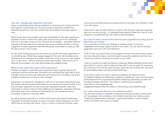

#### How can I manage peer supporter's journeys?

Firstly, by developing some internal guidelines or screening tool covering who the peer support is appropriate for. This can be used to determine whether the interested people you come into contact with are suitable for the peer support work.

Being honest about the possible outcomes and benefits for the peer supporter is essential. It's fine to stress how useful peer support work can be for individuals, and how it can help to improve CVs. However do be realistic – anecdotal evidence indicates that historically some schemes have given a blanket promise, or strong suggestion, to peer supporters that their taking part would lead to a paid job with the same service. This is unfair.

It's also worth thinking about how and when you should move peer supporters on to something else. Whilst many people engaged in the work will doubtless prove themselves to be dedicated and skilled, some may not be cut out for peer support work, or get 'stuck', without looking for future opportunities. Think about how to deal with those people, and what opportunities are available locally.

#### What do peer supporters need in their supervision?

Whether volunteers or paid staff, peer supporters need on-going support and supervision just like anyone else. Volunteers are more likely than paid staff to work a smaller amount of hours per week and may therefore be more likely to be at risk of getting isolated and cut off from their manager.

Supervision is a chance for managers to catch up on the recent experiences, hear any worries, discuss progress and advise on any training and support needs. If you know the peer supporter has had a traumatic experience recently, make sure supervision is used to check on their wellbeing and happiness. Individual instances and events may not be upsetting in themselves but can sometimes have a cumulative, longer-term traumatic effect.

As well as general supervision to monitor performance and support needs peer supporters should also be given access to the same clinical supervision as other staff if they are working with clients. This is a chance to discuss individual cases,

work around stumbling blocks and ensure that the volunteers are confident in their work with clients.

Supervision is also the ideal chance to check in with the peer supporter regarding their own recovery journey – it's essential those inspiring others don't feel so much pressure to succeed that they can't ask for help themselves.

#### Do I need to keep a record of the work the peer supporters are doing and the effect they are having?

It is a good idea to do this yes. Building an evidence base on how your organisation and its peer support works is very useful. You can use it in funding applications and work with commissioners.

Think of ways you record data on the progress of those who receive peer support – the more robust the data is, and the longer the period its collected over the more convincing it will be in showing the impact of your work.

There is a simple tool called the Warwick-Edinburgh Mental Wellbeing Scale which asks clients or service-users to state how they feel. It may be useful for monitoring the outcomes of the service users the peer supporters are working with. You see it at www.healthscotland.com/documents/5238.aspx.

If you'd like to read more about measuring wellbeing, the New Economic Foundation's 'Measuring Well-being: a guide for practitioners' has more information (www.neweconomics.org/publications/entry/measuring-well-being), as does The Charities Evaluation Services' 'First steps in monitoring and evaluation' (www.bath.ac.uk/marketing/publicengagement/assets/CES\_First\_Steps\_in\_Monitoring\_and\_Evaluation.pdf)

#### Do I need a drug and alcohol in the workplace policy?

Yes, this kind of policy is essential in laying down the ground-rules of what is and isn't acceptable in the workplace. If an incident does arise then having a policy containing guidance will be essential in supporting whatever course of action needs to be taken, and support provided.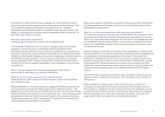The Health and Safety Executive has a webpage with some details and advice around drug and alcohol workplace polices (www.hse.gov.uk/alcoholdrugs). Bear in mind that this is generic information for any type of service – naturally organisations providing peer support to substance users may have to add more detail. Try contacting one of the peer support organisation listed in Appendix F to see if they have one they can share.

#### How can I recruit peer supporters?

Linking up with local treatment providers will be essential in this.

The role profile in Appendix A can be used by managers when recruiting peer supporters. It should be used in combination with job descriptions when advertising and short-listing for a job, to describe to applicants the competencies they need to get the job. Using an effective role profile has the benefit of promoting transparency and equality throughout the process. Everything a candidate needs to demonstrate is clearly specified in a set of measures which apply to all people equally, regardless of any individual characteristics. Questions and tests used in recruitment can then be designed specifically to allow candidates to demonstrate competencies.

Talk to local peer support and mutual aid organisations. There may be opportunities for advertising your roles and making links.

#### What do I do if the peer supporter has a criminal record?

Some people who wish to become involved with peer support will undoubtedly have criminal records.

Where appropriate (i.e. for those carrying out regulated activities) it's essential that peer supporters go through the DBS process which is detailed in section 1. Be realistic about the fact that some of the DBS searches will come back with criminal offences identified, and respond in a non-judgemental way – each individual should be assessed on their own merits and current position in their journey of recovery. Organisational policy and child or adult protection policies can be consulted and used to decide on the suitability of a candidate.

Being a peer supporter represents a chance for change and positive development and all employees should be given a chance to prove themselves without being handicapped by past actions.

#### What do I do if the peer supporter is still using drug and alcohol?

For some time the idea of a "two year rule" was prevalent in the drug sector which purportedly demanded that employees (including peer supporters) must be drug free for two years before being employed. This was never a rule officially espoused by the National Treatment Agency (NTA) or anyone else but passed into common currency. It is potentially damaging to the recovery prospects of substance users and should not be used.

Instead, managers should refer to the policy of their organisation, as well as using their own judgement on a case-by-case basis to assess the needs, capabilities and competencies of potential peer supporters. Ask yourself 'is this person fit to participate?'. Managers should also take into account the support structure the potential employee has in place to support their recovery. Someone with very little social support from friends and family, an unstable housing situation and other problematic issues in their life may be less ready to take up a support position than someone with an accepting community, supportive social network and stable housing.

As the NTA noted: 'appointing someone to a post (voluntary or paid) should only depend on their competence to do the job…time drug-free is not an indicator of competence'.

What is essential is making it clear to peer supporters that no matter how prolonged and celebrated their recovery, they always have the right to come to their manager or colleagues with any worries about their own substance use. It is possible that some mentors feel they cannot be open about their own struggles if they are being held up by others as an exemplar of progress – this could have tragic results if help is not asked for and provided when needed.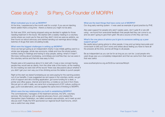# Case study 2 Si Parry, Co-Founder of MORPH

#### What motivated you to set up MORPH?

At the time, I experienced a five month wait for a script. If you are an injecting heroin addict that's a long time - there's a chance you might not be alive.

So that was 2004, and having stopped using we decided to agitate for those needing treatment in the future. We started with a weekly meeting in a voluntary centre where we could use for free and they didn't mind we were ex-addicts, we then found out about advocacy and started sending out warnings about dodgy batches of drugs that were circulating locally.

#### What were the biggest challenges in setting up MORPH?

Once we had got going as an independent charity it was initially getting used to a whole new language, whole new acronyms, initials and how the whole system worked, being in meetings and having to stop people, asking 'what's X mean?'. We knew nothing about fundraising, committees and stuff like that, but we were in the voluntary service and that info was easy to find.

People were a bit suspicious about it to start with, it was a new concept having people they would see as clients, from the other side of the tracks, at the meeting. At one meeting we were told off the record 'there was discussions about whether if you didn't get your own way you'd be climbing across the tables to punch people'.

Right at the start we stared fundraising as we were paying for the warning posters out of our benefits. It was suggested we rent space in the voluntary centre, we got a bit of support and did a funding application, got some funding for a desk, a printer and office space, internet and land-line, a mobile so we took it from there. We just got on with it really, we came from a background of DIY culture, putting on gigs, punk rock/alternative, and we applied the same kind of thinking to MORPH.

#### Which were the key relationships you built in establishing MORPH?

The commissioners, managers of the treatment services, the GPs, voluntary services. We hooked up with a regional advocacy forum, and created the Hampshire Users Federation, we called ourselves user-activists, we'd meet up and discuss stuff. Finally the NTA sponsored our regional South East forums, which was a useful two-way street.

#### What are the best things that have come out of MORPH?

Our drug early warning system - it was used as example of good practice by PHE.

Also peer support for people who aren't opiate users, don't quite fit or are still using - we found from anecdotal feedback that people feel they can come to us, and we aren't going to give them grief. We are a source of info they can trust.

#### What's the one piece of advice you'd give to someone setting up a peer support group?

Be careful about giving advice to other people, it may end up being inaccurate and come back to bite you! Don't worry and stress about feeling you have to have all the answers all the time, and be all things to all people.

Be as independent as you can be for as long as you can be. Local people who used drugs saw us a completely independent and that we came from their world – that was useful.

www.southamptonvs.org.uk/SUS/our-services/Morph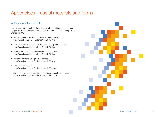# Appendices – useful materials and forms

## A. Peer supporter role profile

You can use the suggested role profile below to recruit and supervise peer supporters. Each area of competence is taken from a National Occupational Standard (NOS).

- Establish communication with clients for advice and guidance http://nos.ukces.org.uk/PublishedNos/LSIAG01.pdf
- Support clients to make use of the advice and guidance service http://nos.ukces.org.uk/PublishedNos/LSIAG2.pdf
- Develop interactions with Advice and Guidance clients http://nos.ukces.org.uk/PublishedNos/LSIAG3.pdf
- Interact with clients using a range of media http://nos.ukces.org.uk/PublishedNos/LSIAG4.pdf
- Liaise with other services http://nos.ukces.org.uk/PublishedNos/LSIAG12.pdf
- Assess and act upon immediate risk of danger to substance users http://nos.ukces.org.uk/PublishedNos/SFHAB5.pdf

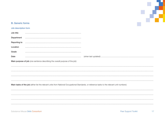

## **B.** Generic forms

## Job description form

| Job title                                                                    |                                                                                                                                              |  |  |  |
|------------------------------------------------------------------------------|----------------------------------------------------------------------------------------------------------------------------------------------|--|--|--|
| Department                                                                   |                                                                                                                                              |  |  |  |
| Reporting to                                                                 |                                                                                                                                              |  |  |  |
| Location                                                                     |                                                                                                                                              |  |  |  |
| Grade                                                                        |                                                                                                                                              |  |  |  |
| Date                                                                         |                                                                                                                                              |  |  |  |
| Main purpose of job (one sentence describing the overall purpose of the job) |                                                                                                                                              |  |  |  |
|                                                                              |                                                                                                                                              |  |  |  |
|                                                                              |                                                                                                                                              |  |  |  |
|                                                                              |                                                                                                                                              |  |  |  |
|                                                                              |                                                                                                                                              |  |  |  |
|                                                                              | Main tasks of the job (either list the relevant units from National Occupational Standards, or reference tasks to the relevant unit numbers) |  |  |  |
|                                                                              |                                                                                                                                              |  |  |  |
|                                                                              |                                                                                                                                              |  |  |  |
|                                                                              |                                                                                                                                              |  |  |  |
|                                                                              |                                                                                                                                              |  |  |  |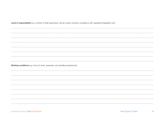| Level of responsibility (e.g. number of staff supervised, role as a team member, compliance with regulations/legislation etc) |  |  |  |  |
|-------------------------------------------------------------------------------------------------------------------------------|--|--|--|--|
|                                                                                                                               |  |  |  |  |
|                                                                                                                               |  |  |  |  |
|                                                                                                                               |  |  |  |  |
|                                                                                                                               |  |  |  |  |
|                                                                                                                               |  |  |  |  |
|                                                                                                                               |  |  |  |  |
|                                                                                                                               |  |  |  |  |
|                                                                                                                               |  |  |  |  |
|                                                                                                                               |  |  |  |  |
|                                                                                                                               |  |  |  |  |
| Working conditions (e.g. hours of work, expenses, any travelling required etc)                                                |  |  |  |  |
|                                                                                                                               |  |  |  |  |
|                                                                                                                               |  |  |  |  |
|                                                                                                                               |  |  |  |  |
|                                                                                                                               |  |  |  |  |
|                                                                                                                               |  |  |  |  |
|                                                                                                                               |  |  |  |  |
|                                                                                                                               |  |  |  |  |
|                                                                                                                               |  |  |  |  |
|                                                                                                                               |  |  |  |  |
|                                                                                                                               |  |  |  |  |
|                                                                                                                               |  |  |  |  |

Substance Misuse Skills Consortium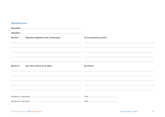## **Appraisal form**

| Appraisee: |                                        |                         |
|------------|----------------------------------------|-------------------------|
| Appraiser: |                                        |                         |
| Section 1  | Objectives agreed for the coming year: | To be achieved by when? |
|            |                                        |                         |
|            |                                        |                         |
|            |                                        |                         |
|            |                                        |                         |
|            |                                        |                         |
|            |                                        |                         |
| Section 2  | Any other actions to be taken          | By whom?                |
|            |                                        |                         |
|            |                                        |                         |
|            |                                        |                         |
|            |                                        |                         |
|            |                                        |                         |
|            |                                        |                         |

19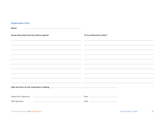## **Supervision form**

Name: 

| Issues discussed and any actions agreed: |  | To be achieved by when? |  |  |
|------------------------------------------|--|-------------------------|--|--|
|                                          |  |                         |  |  |
|                                          |  |                         |  |  |
|                                          |  |                         |  |  |
|                                          |  |                         |  |  |
|                                          |  |                         |  |  |
|                                          |  |                         |  |  |
|                                          |  |                         |  |  |
|                                          |  |                         |  |  |
|                                          |  |                         |  |  |
|                                          |  |                         |  |  |
|                                          |  |                         |  |  |
|                                          |  |                         |  |  |
| Supervisor's signature:                  |  |                         |  |  |
| Staff signature:                         |  |                         |  |  |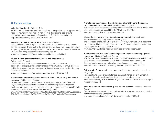## C. Further reading

#### Volunteer handbook - Build on Belief

BOB's volunteer handbook contains everything a prospective peer supporter would need to know about their work. It includes role descriptions, background information, policies covering safeguarding, confidentiality etc, and more. http://buildonbelief.org.uk/VOLHBOOKFINAL.pdf

#### Improving access to mutual aid – Public Health England

Two guides exist on this topic – one for commissioners and one for treatment service managers. These outline the appropriate role these two groups can play in supporting the further development of mutual aid and links with treatment services. www.nta.nhs.uk/uploads/service-managers-guide.pdf www.nta.nhs.uk/uploads/commissioners-guide-to-mutual-aid.pdf

#### Mutual aid self-assessment tool Alcohol and drug recovery –

Public Health England

This self-assessment tool has been developed to support local authority partnerships to improve their understanding of the availability of mutual aid locally, to identify any gaps that may exist and to highlight any potential barriers that may need to be overcome.

www.nta.nhs.uk/uploads/self-assessment-tool-final-pdf-version.pdf

#### Resources to support facilitated access to mutual aid for drug and alcohol recovery – Public Health England

"A new toolkit of resources for use by partnerships, treatment providers and keyworkers will help them understand what links are in place between local treatment services and mutual aid groups, and to do more to encourage clients to attend and participate as part of their recovery journey."

www.nta.nhs.uk/New%20resources%20to%20support%20facilitated%20access% 20to%20mutual%20aid%20for%20drug%20and%20alcohol%20recovery.aspx

#### A briefing on the evidence-based drug and alcohol treatment guidance recommendations on mutual aid – Public Health England

This briefing clearly outlines the existing evidence base for mutual aid, and touches upon peer support, covering NICE, the ACMD and the RODT. www.nta.nhs.uk/uploads/mutualaid-briefing.pdf

#### Medications in recovery: re-orientating drug dependence treatment -

Recovery Orientated Drug Treatment expert group The final report of the John Strang-chaired Recovery Orientated Drug Treatment expert group, this report provides an overview of how the treatment system can best support the recovery of heroin users. www.nta.nhs.uk/uploads/medications-in-recovery-main-report3.pdf

## Turning evidence into practice: helping clients to access and engage with

mutual aid – National Treatment Agency

The first in a series of briefings to support commissioners and providers who want to improve the recovery orientation of their services as recommended by 'Medications in recovery: re-orientating drug dependence treatment'. www.nta.nhs.uk/uploads/rr\_facilitatingmutualaid\_jan2013%5B0%5D.pdf

#### Pathways to Employment in London – A guide for drug and alcohol services - DrugScope

Report outlining some of the challenges facing substance users in London. It contains information and good practice for services and managers. www.drugscope.org.uk/Resources/Drugscope/Documents/PDF/Policy/employme nt-report-revised.pdf

#### Staff development toolkit for drug and alcohol services – National Treatment Agency

Resource covering many tools and topics useful to volunteer managers, including National Occupational Standards.

www.nta.nhs.uk/uploads/nta\_staff\_development\_toolkit\_2006.pdf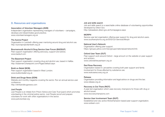## D. Resources and organisations

#### Association of Volunteer Managers (AVM)

Independent organisation representing managers of volunteers – campaigns, develops and disseminates good practice. www.volunteermanagers.org.uk

#### The Aurora Project

Organisation in Lambeth offering peer mentoring around drug and alcohol use. http://auroraprojectlambeth.org.uk

#### Bournemouth Alcohol & Drug Service User Forum (BADSUF)

Peer support organisation offering advocacy, support and advice. www.badsuf.com

#### The Basement Project

Peer support organisation covering drug and alcohol use, based in Halifax. http://basement.sharepoint.com/Pages/default.aspx

#### Build on Belief (BOB)

Peer support organisation based in West London. www.buildonbelief.org.uk

#### Drink and Drugs News (DDN)

Website and monthly magazine covering the sector. Run an annual service-user conference. http://drinkanddrugsnews.com

#### Just People

Just People is an initiate from Prison Advice and Care Trust (pact) which promotes volunteering in the criminal justice sector. Just People recruit and prepare volunteers for work with other organisations in the sector. www.justvolunteer.org

#### Job and skills search

Job and skills search is a searchable online database of volunteering opportunities developed by Direct Gov. http://jobseekers.direct.gov.uk/homepagevw.aspx

#### MORPH

Service-user led organisation offering peer support for drug and alcohol users. www.southamptonvs.org.uk/SVS/Our-Services/Morph

#### National User's Network

Organisation offering peer support. https://groups.yahoo.com/neo/groups/nationalusernetwork/info

#### Oxford User Team (OUT)

Peer support work around Oxford – large amount on the website on peer support and activism. www.oxfordshireuserteam.org.uk

#### Red Rose Recovery

Organisation based in Lancashire covering both peer support and family involvement for those affected by substance use. www.redroserecovery.org.uk

#### Release

Organisation providing information and legal advice on drugs and the law. www.release.org.uk

#### Recovery is Out There (RIOT)

A peer-led organisation which uses recovery champions for those with drug or alcohol issues. www.recoverychampions.com

#### Service User Involvement Team (SUIT)

Established and very active Wolverhampton based peer support organisation. www.suiteam.com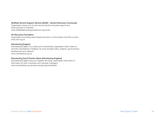#### Sheffield Alcohol Support Service (SASS) – Alcohol Recovery Community

Organisation doing a lot of work around alcohol and peer support and empowerment in Yorkshire. www.sheffieldalcoholsupportservice.org.uk/arc

#### UK Recovery Foundation

Organisation promoting asset-based recovery in communities round the country. www.ukrf.org.uk

#### Volunteering England

Volunteering England is a charity and membership organisation which seeks to promote volunteering in England. Its work includes policy, projects, good practice development and research. www.volunteering.org.uk

#### Volunteering Good Practice Bank (Volunteering England)

Volunteering England have put together this large, searchable online bank of information for both volunteers and volunteer managers. www.volunteering.org.uk/resources/goodpracticebank